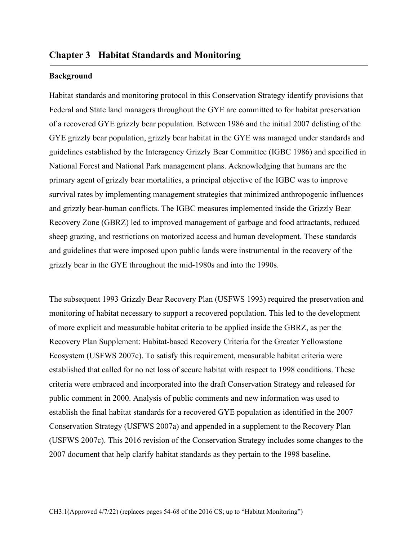### **Background**

Habitat standards and monitoring protocol in this Conservation Strategy identify provisions that Federal and State land managers throughout the GYE are committed to for habitat preservation of a recovered GYE grizzly bear population. Between 1986 and the initial 2007 delisting of the GYE grizzly bear population, grizzly bear habitat in the GYE was managed under standards and guidelines established by the Interagency Grizzly Bear Committee (IGBC 1986) and specified in National Forest and National Park management plans. Acknowledging that humans are the primary agent of grizzly bear mortalities, a principal objective of the IGBC was to improve survival rates by implementing management strategies that minimized anthropogenic influences and grizzly bear-human conflicts. The IGBC measures implemented inside the Grizzly Bear Recovery Zone (GBRZ) led to improved management of garbage and food attractants, reduced sheep grazing, and restrictions on motorized access and human development. These standards and guidelines that were imposed upon public lands were instrumental in the recovery of the grizzly bear in the GYE throughout the mid-1980s and into the 1990s.

The subsequent 1993 Grizzly Bear Recovery Plan (USFWS 1993) required the preservation and monitoring of habitat necessary to support a recovered population. This led to the development of more explicit and measurable habitat criteria to be applied inside the GBRZ, as per the Recovery Plan Supplement: Habitat-based Recovery Criteria for the Greater Yellowstone Ecosystem (USFWS 2007c). To satisfy this requirement, measurable habitat criteria were established that called for no net loss of secure habitat with respect to 1998 conditions. These criteria were embraced and incorporated into the draft Conservation Strategy and released for public comment in 2000. Analysis of public comments and new information was used to establish the final habitat standards for a recovered GYE population as identified in the 2007 Conservation Strategy (USFWS 2007a) and appended in a supplement to the Recovery Plan (USFWS 2007c). This 2016 revision of the Conservation Strategy includes some changes to the 2007 document that help clarify habitat standards as they pertain to the 1998 baseline.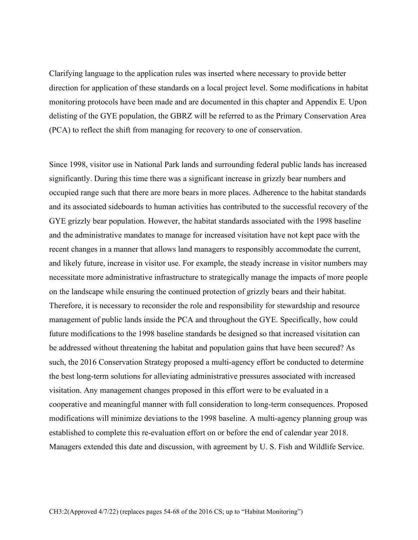Clarifying language to the application rules was inserted where necessary to provide better direction for application of these standards on a local project level. Some modifications in habitat monitoring protocols have been made and are documented in this chapter and Appendix E. Upon delisting of the GYE population, the GBRZ will be referred to as the Primary Conservation Area (PCA) to reflect the shift from managing for recovery to one of conservation.

Since 1998, visitor use in National Park lands and surrounding federal public lands has increased significantly. During this time there was a significant increase in grizzly bear numbers and occupied range such that there are more bears in more places. Adherence to the habitat standards and its associated sideboards to human activities has contributed to the successful recovery of the GYE grizzly bear population. However, the habitat standards associated with the 1998 baseline and the administrative mandates to manage for increased visitation have not kept pace with the recent changes in a manner that allows land managers to responsibly accommodate the current, and likely future, increase in visitor use. For example, the steady increase in visitor numbers may necessitate more administrative infrastructure to strategically manage the impacts of more people on the landscape while ensuring the continued protection of grizzly bears and their habitat. Therefore, it is necessary to reconsider the role and responsibility for stewardship and resource management of public lands inside the PCA and throughout the GYE. Specifically, how could future modifications to the 1998 baseline standards be designed so that increased visitation can be addressed without threatening the habitat and population gains that have been secured? As such, the 2016 Conservation Strategy proposed a multi-agency effort be conducted to determine the best long-term solutions for alleviating administrative pressures associated with increased visitation. Any management changes proposed in this effort were to be evaluated in a cooperative and meaningful manner with full consideration to long-term consequences. Proposed modifications will minimize deviations to the 1998 baseline. A multi-agency planning group was established to complete this re-evaluation effort on or before the end of calendar year 2018. Managers extended this date and discussion, with agreement by U. S. Fish and Wildlife Service.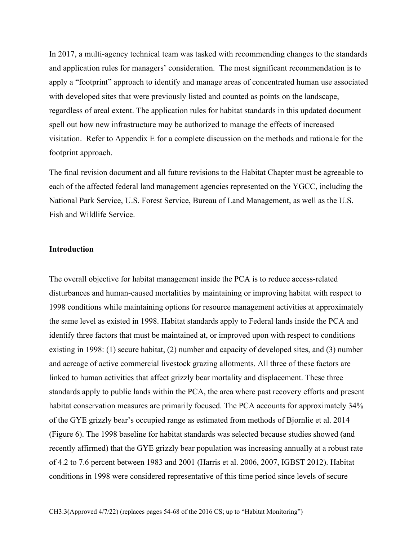In 2017, a multi-agency technical team was tasked with recommending changes to the standards and application rules for managers' consideration. The most significant recommendation is to apply a "footprint" approach to identify and manage areas of concentrated human use associated with developed sites that were previously listed and counted as points on the landscape, regardless of areal extent. The application rules for habitat standards in this updated document spell out how new infrastructure may be authorized to manage the effects of increased visitation. Refer to Appendix E for a complete discussion on the methods and rationale for the footprint approach.

The final revision document and all future revisions to the Habitat Chapter must be agreeable to each of the affected federal land management agencies represented on the YGCC, including the National Park Service, U.S. Forest Service, Bureau of Land Management, as well as the U.S. Fish and Wildlife Service.

# **Introduction**

The overall objective for habitat management inside the PCA is to reduce access-related disturbances and human-caused mortalities by maintaining or improving habitat with respect to 1998 conditions while maintaining options for resource management activities at approximately the same level as existed in 1998. Habitat standards apply to Federal lands inside the PCA and identify three factors that must be maintained at, or improved upon with respect to conditions existing in 1998: (1) secure habitat, (2) number and capacity of developed sites, and (3) number and acreage of active commercial livestock grazing allotments. All three of these factors are linked to human activities that affect grizzly bear mortality and displacement. These three standards apply to public lands within the PCA, the area where past recovery efforts and present habitat conservation measures are primarily focused. The PCA accounts for approximately 34% of the GYE grizzly bear's occupied range as estimated from methods of Bjornlie et al. 2014 (Figure 6). The 1998 baseline for habitat standards was selected because studies showed (and recently affirmed) that the GYE grizzly bear population was increasing annually at a robust rate of 4.2 to 7.6 percent between 1983 and 2001 (Harris et al. 2006, 2007, IGBST 2012). Habitat conditions in 1998 were considered representative of this time period since levels of secure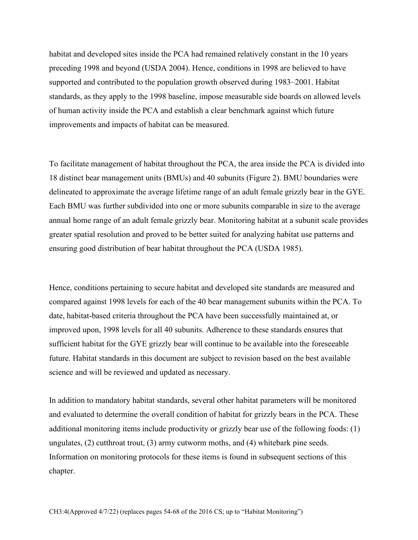habitat and developed sites inside the PCA had remained relatively constant in the 10 years preceding 1998 and beyond (USDA 2004). Hence, conditions in 1998 are believed to have supported and contributed to the population growth observed during 1983–2001. Habitat standards, as they apply to the 1998 baseline, impose measurable side boards on allowed levels of human activity inside the PCA and establish a clear benchmark against which future improvements and impacts of habitat can be measured.

To facilitate management of habitat throughout the PCA, the area inside the PCA is divided into 18 distinct bear management units (BMUs) and 40 subunits (Figure 2). BMU boundaries were delineated to approximate the average lifetime range of an adult female grizzly bear in the GYE. Each BMU was further subdivided into one or more subunits comparable in size to the average annual home range of an adult female grizzly bear. Monitoring habitat at a subunit scale provides greater spatial resolution and proved to be better suited for analyzing habitat use patterns and ensuring good distribution of bear habitat throughout the PCA (USDA 1985).

Hence, conditions pertaining to secure habitat and developed site standards are measured and compared against 1998 levels for each of the 40 bear management subunits within the PCA. To date, habitat-based criteria throughout the PCA have been successfully maintained at, or improved upon, 1998 levels for all 40 subunits. Adherence to these standards ensures that sufficient habitat for the GYE grizzly bear will continue to be available into the foreseeable future. Habitat standards in this document are subject to revision based on the best available science and will be reviewed and updated as necessary.

In addition to mandatory habitat standards, several other habitat parameters will be monitored and evaluated to determine the overall condition of habitat for grizzly bears in the PCA. These additional monitoring items include productivity or grizzly bear use of the following foods: (1) ungulates, (2) cutthroat trout, (3) army cutworm moths, and (4) whitebark pine seeds. Information on monitoring protocols for these items is found in subsequent sections of this chapter.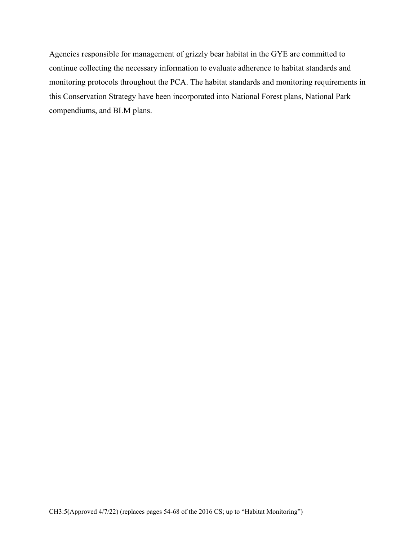Agencies responsible for management of grizzly bear habitat in the GYE are committed to continue collecting the necessary information to evaluate adherence to habitat standards and monitoring protocols throughout the PCA. The habitat standards and monitoring requirements in this Conservation Strategy have been incorporated into National Forest plans, National Park compendiums, and BLM plans.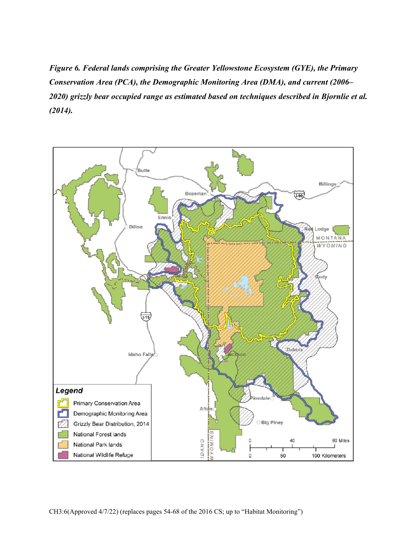*Figure 6. Federal lands comprising the Greater Yellowstone Ecosystem (GYE), the Primary Conservation Area (PCA), the Demographic Monitoring Area (DMA), and current (2006– 2020) grizzly bear occupied range as estimated based on techniques described in Bjornlie et al. (2014).*

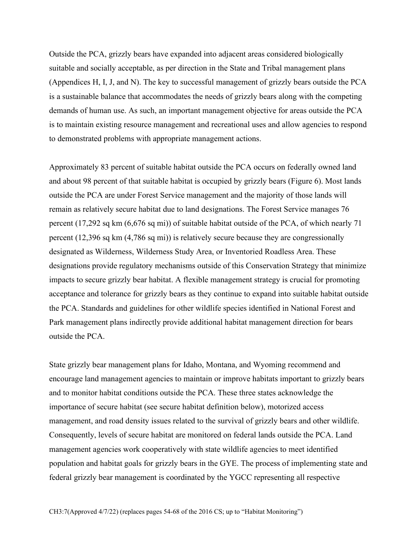Outside the PCA, grizzly bears have expanded into adjacent areas considered biologically suitable and socially acceptable, as per direction in the State and Tribal management plans (Appendices H, I, J, and N). The key to successful management of grizzly bears outside the PCA is a sustainable balance that accommodates the needs of grizzly bears along with the competing demands of human use. As such, an important management objective for areas outside the PCA is to maintain existing resource management and recreational uses and allow agencies to respond to demonstrated problems with appropriate management actions.

Approximately 83 percent of suitable habitat outside the PCA occurs on federally owned land and about 98 percent of that suitable habitat is occupied by grizzly bears (Figure 6). Most lands outside the PCA are under Forest Service management and the majority of those lands will remain as relatively secure habitat due to land designations. The Forest Service manages 76 percent (17,292 sq km (6,676 sq mi)) of suitable habitat outside of the PCA, of which nearly 71 percent (12,396 sq km (4,786 sq mi)) is relatively secure because they are congressionally designated as Wilderness, Wilderness Study Area, or Inventoried Roadless Area. These designations provide regulatory mechanisms outside of this Conservation Strategy that minimize impacts to secure grizzly bear habitat. A flexible management strategy is crucial for promoting acceptance and tolerance for grizzly bears as they continue to expand into suitable habitat outside the PCA. Standards and guidelines for other wildlife species identified in National Forest and Park management plans indirectly provide additional habitat management direction for bears outside the PCA.

State grizzly bear management plans for Idaho, Montana, and Wyoming recommend and encourage land management agencies to maintain or improve habitats important to grizzly bears and to monitor habitat conditions outside the PCA. These three states acknowledge the importance of secure habitat (see secure habitat definition below), motorized access management, and road density issues related to the survival of grizzly bears and other wildlife. Consequently, levels of secure habitat are monitored on federal lands outside the PCA. Land management agencies work cooperatively with state wildlife agencies to meet identified population and habitat goals for grizzly bears in the GYE. The process of implementing state and federal grizzly bear management is coordinated by the YGCC representing all respective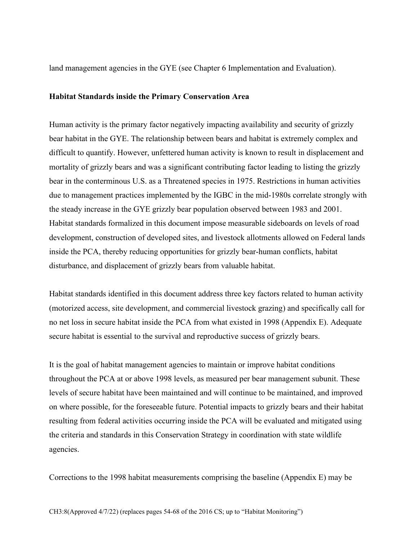land management agencies in the GYE (see Chapter 6 Implementation and Evaluation).

#### **Habitat Standards inside the Primary Conservation Area**

Human activity is the primary factor negatively impacting availability and security of grizzly bear habitat in the GYE. The relationship between bears and habitat is extremely complex and difficult to quantify. However, unfettered human activity is known to result in displacement and mortality of grizzly bears and was a significant contributing factor leading to listing the grizzly bear in the conterminous U.S. as a Threatened species in 1975. Restrictions in human activities due to management practices implemented by the IGBC in the mid-1980s correlate strongly with the steady increase in the GYE grizzly bear population observed between 1983 and 2001. Habitat standards formalized in this document impose measurable sideboards on levels of road development, construction of developed sites, and livestock allotments allowed on Federal lands inside the PCA, thereby reducing opportunities for grizzly bear-human conflicts, habitat disturbance, and displacement of grizzly bears from valuable habitat.

Habitat standards identified in this document address three key factors related to human activity (motorized access, site development, and commercial livestock grazing) and specifically call for no net loss in secure habitat inside the PCA from what existed in 1998 (Appendix E). Adequate secure habitat is essential to the survival and reproductive success of grizzly bears.

It is the goal of habitat management agencies to maintain or improve habitat conditions throughout the PCA at or above 1998 levels, as measured per bear management subunit. These levels of secure habitat have been maintained and will continue to be maintained, and improved on where possible, for the foreseeable future. Potential impacts to grizzly bears and their habitat resulting from federal activities occurring inside the PCA will be evaluated and mitigated using the criteria and standards in this Conservation Strategy in coordination with state wildlife agencies.

Corrections to the 1998 habitat measurements comprising the baseline (Appendix E) may be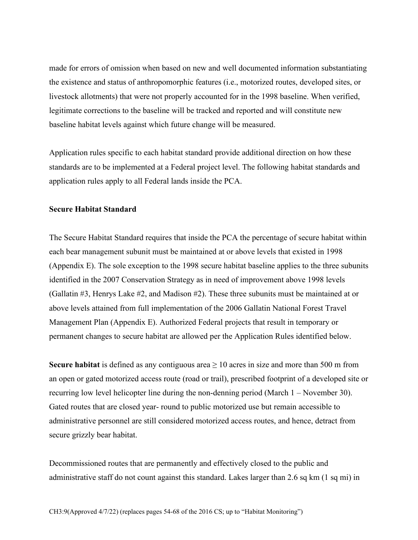made for errors of omission when based on new and well documented information substantiating the existence and status of anthropomorphic features (i.e., motorized routes, developed sites, or livestock allotments) that were not properly accounted for in the 1998 baseline. When verified, legitimate corrections to the baseline will be tracked and reported and will constitute new baseline habitat levels against which future change will be measured.

Application rules specific to each habitat standard provide additional direction on how these standards are to be implemented at a Federal project level. The following habitat standards and application rules apply to all Federal lands inside the PCA.

### **Secure Habitat Standard**

The Secure Habitat Standard requires that inside the PCA the percentage of secure habitat within each bear management subunit must be maintained at or above levels that existed in 1998 (Appendix E). The sole exception to the 1998 secure habitat baseline applies to the three subunits identified in the 2007 Conservation Strategy as in need of improvement above 1998 levels (Gallatin #3, Henrys Lake #2, and Madison #2). These three subunits must be maintained at or above levels attained from full implementation of the 2006 Gallatin National Forest Travel Management Plan (Appendix E). Authorized Federal projects that result in temporary or permanent changes to secure habitat are allowed per the Application Rules identified below.

**Secure habitat** is defined as any contiguous area  $\geq 10$  acres in size and more than 500 m from an open or gated motorized access route (road or trail), prescribed footprint of a developed site or recurring low level helicopter line during the non-denning period (March 1 – November 30). Gated routes that are closed year- round to public motorized use but remain accessible to administrative personnel are still considered motorized access routes, and hence, detract from secure grizzly bear habitat.

Decommissioned routes that are permanently and effectively closed to the public and administrative staff do not count against this standard. Lakes larger than 2.6 sq km (1 sq mi) in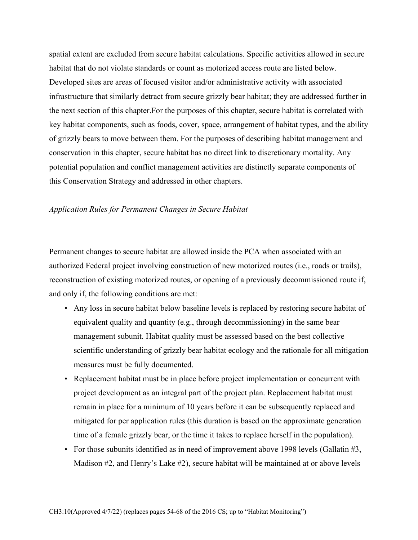spatial extent are excluded from secure habitat calculations. Specific activities allowed in secure habitat that do not violate standards or count as motorized access route are listed below. Developed sites are areas of focused visitor and/or administrative activity with associated infrastructure that similarly detract from secure grizzly bear habitat; they are addressed further in the next section of this chapter.For the purposes of this chapter, secure habitat is correlated with key habitat components, such as foods, cover, space, arrangement of habitat types, and the ability of grizzly bears to move between them. For the purposes of describing habitat management and conservation in this chapter, secure habitat has no direct link to discretionary mortality. Any potential population and conflict management activities are distinctly separate components of this Conservation Strategy and addressed in other chapters.

#### *Application Rules for Permanent Changes in Secure Habitat*

Permanent changes to secure habitat are allowed inside the PCA when associated with an authorized Federal project involving construction of new motorized routes (i.e., roads or trails), reconstruction of existing motorized routes, or opening of a previously decommissioned route if, and only if, the following conditions are met:

- Any loss in secure habitat below baseline levels is replaced by restoring secure habitat of equivalent quality and quantity (e.g., through decommissioning) in the same bear management subunit. Habitat quality must be assessed based on the best collective scientific understanding of grizzly bear habitat ecology and the rationale for all mitigation measures must be fully documented.
- Replacement habitat must be in place before project implementation or concurrent with project development as an integral part of the project plan. Replacement habitat must remain in place for a minimum of 10 years before it can be subsequently replaced and mitigated for per application rules (this duration is based on the approximate generation time of a female grizzly bear, or the time it takes to replace herself in the population).
- For those subunits identified as in need of improvement above 1998 levels (Gallatin #3, Madison #2, and Henry's Lake #2), secure habitat will be maintained at or above levels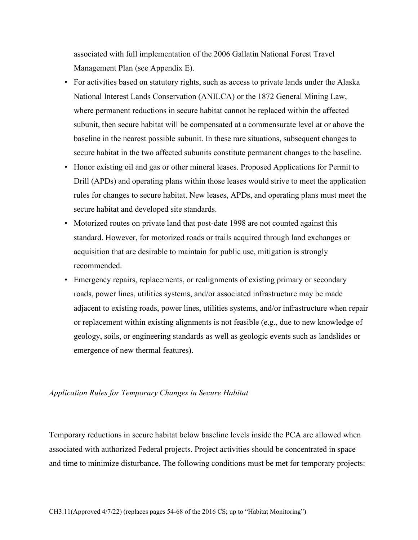associated with full implementation of the 2006 Gallatin National Forest Travel Management Plan (see Appendix E).

- For activities based on statutory rights, such as access to private lands under the Alaska National Interest Lands Conservation (ANILCA) or the 1872 General Mining Law, where permanent reductions in secure habitat cannot be replaced within the affected subunit, then secure habitat will be compensated at a commensurate level at or above the baseline in the nearest possible subunit. In these rare situations, subsequent changes to secure habitat in the two affected subunits constitute permanent changes to the baseline.
- Honor existing oil and gas or other mineral leases. Proposed Applications for Permit to Drill (APDs) and operating plans within those leases would strive to meet the application rules for changes to secure habitat. New leases, APDs, and operating plans must meet the secure habitat and developed site standards.
- Motorized routes on private land that post-date 1998 are not counted against this standard. However, for motorized roads or trails acquired through land exchanges or acquisition that are desirable to maintain for public use, mitigation is strongly recommended.
- Emergency repairs, replacements, or realignments of existing primary or secondary roads, power lines, utilities systems, and/or associated infrastructure may be made adjacent to existing roads, power lines, utilities systems, and/or infrastructure when repair or replacement within existing alignments is not feasible (e.g., due to new knowledge of geology, soils, or engineering standards as well as geologic events such as landslides or emergence of new thermal features).

## *Application Rules for Temporary Changes in Secure Habitat*

Temporary reductions in secure habitat below baseline levels inside the PCA are allowed when associated with authorized Federal projects. Project activities should be concentrated in space and time to minimize disturbance. The following conditions must be met for temporary projects: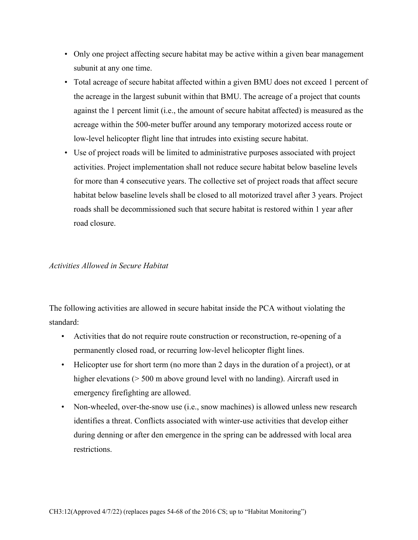- Only one project affecting secure habitat may be active within a given bear management subunit at any one time.
- Total acreage of secure habitat affected within a given BMU does not exceed 1 percent of the acreage in the largest subunit within that BMU. The acreage of a project that counts against the 1 percent limit (i.e., the amount of secure habitat affected) is measured as the acreage within the 500-meter buffer around any temporary motorized access route or low-level helicopter flight line that intrudes into existing secure habitat.
- Use of project roads will be limited to administrative purposes associated with project activities. Project implementation shall not reduce secure habitat below baseline levels for more than 4 consecutive years. The collective set of project roads that affect secure habitat below baseline levels shall be closed to all motorized travel after 3 years. Project roads shall be decommissioned such that secure habitat is restored within 1 year after road closure.

# *Activities Allowed in Secure Habitat*

The following activities are allowed in secure habitat inside the PCA without violating the standard:

- Activities that do not require route construction or reconstruction, re-opening of a permanently closed road, or recurring low-level helicopter flight lines.
- Helicopter use for short term (no more than 2 days in the duration of a project), or at higher elevations ( $> 500$  m above ground level with no landing). Aircraft used in emergency firefighting are allowed.
- Non-wheeled, over-the-snow use (i.e., snow machines) is allowed unless new research identifies a threat. Conflicts associated with winter-use activities that develop either during denning or after den emergence in the spring can be addressed with local area restrictions.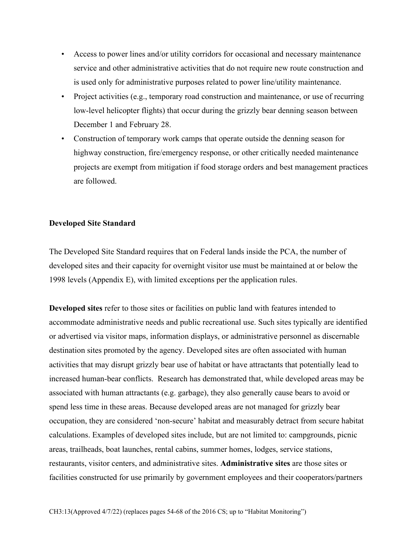- Access to power lines and/or utility corridors for occasional and necessary maintenance service and other administrative activities that do not require new route construction and is used only for administrative purposes related to power line/utility maintenance.
- Project activities (e.g., temporary road construction and maintenance, or use of recurring low-level helicopter flights) that occur during the grizzly bear denning season between December 1 and February 28.
- Construction of temporary work camps that operate outside the denning season for highway construction, fire/emergency response, or other critically needed maintenance projects are exempt from mitigation if food storage orders and best management practices are followed.

## **Developed Site Standard**

The Developed Site Standard requires that on Federal lands inside the PCA, the number of developed sites and their capacity for overnight visitor use must be maintained at or below the 1998 levels (Appendix E), with limited exceptions per the application rules.

**Developed sites** refer to those sites or facilities on public land with features intended to accommodate administrative needs and public recreational use. Such sites typically are identified or advertised via visitor maps, information displays, or administrative personnel as discernable destination sites promoted by the agency. Developed sites are often associated with human activities that may disrupt grizzly bear use of habitat or have attractants that potentially lead to increased human-bear conflicts. Research has demonstrated that, while developed areas may be associated with human attractants (e.g. garbage), they also generally cause bears to avoid or spend less time in these areas. Because developed areas are not managed for grizzly bear occupation, they are considered 'non-secure' habitat and measurably detract from secure habitat calculations. Examples of developed sites include, but are not limited to: campgrounds, picnic areas, trailheads, boat launches, rental cabins, summer homes, lodges, service stations, restaurants, visitor centers, and administrative sites. **Administrative sites** are those sites or facilities constructed for use primarily by government employees and their cooperators/partners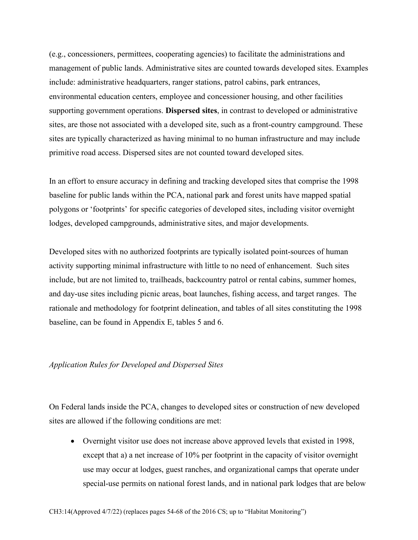(e.g., concessioners, permittees, cooperating agencies) to facilitate the administrations and management of public lands. Administrative sites are counted towards developed sites. Examples include: administrative headquarters, ranger stations, patrol cabins, park entrances, environmental education centers, employee and concessioner housing, and other facilities supporting government operations. **Dispersed sites**, in contrast to developed or administrative sites, are those not associated with a developed site, such as a front-country campground. These sites are typically characterized as having minimal to no human infrastructure and may include primitive road access. Dispersed sites are not counted toward developed sites.

In an effort to ensure accuracy in defining and tracking developed sites that comprise the 1998 baseline for public lands within the PCA, national park and forest units have mapped spatial polygons or 'footprints' for specific categories of developed sites, including visitor overnight lodges, developed campgrounds, administrative sites, and major developments.

Developed sites with no authorized footprints are typically isolated point-sources of human activity supporting minimal infrastructure with little to no need of enhancement. Such sites include, but are not limited to, trailheads, backcountry patrol or rental cabins, summer homes, and day-use sites including picnic areas, boat launches, fishing access, and target ranges. The rationale and methodology for footprint delineation, and tables of all sites constituting the 1998 baseline, can be found in Appendix E, tables 5 and 6.

## *Application Rules for Developed and Dispersed Sites*

On Federal lands inside the PCA, changes to developed sites or construction of new developed sites are allowed if the following conditions are met:

• Overnight visitor use does not increase above approved levels that existed in 1998, except that a) a net increase of 10% per footprint in the capacity of visitor overnight use may occur at lodges, guest ranches, and organizational camps that operate under special-use permits on national forest lands, and in national park lodges that are below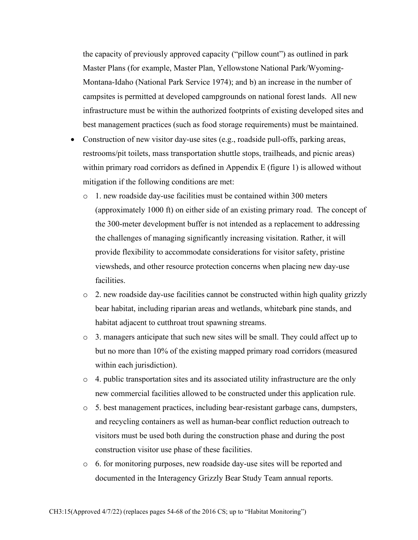the capacity of previously approved capacity ("pillow count") as outlined in park Master Plans (for example, Master Plan, Yellowstone National Park/Wyoming-Montana-Idaho (National Park Service 1974); and b) an increase in the number of campsites is permitted at developed campgrounds on national forest lands. All new infrastructure must be within the authorized footprints of existing developed sites and best management practices (such as food storage requirements) must be maintained.

- Construction of new visitor day-use sites (e.g., roadside pull-offs, parking areas, restrooms/pit toilets, mass transportation shuttle stops, trailheads, and picnic areas) within primary road corridors as defined in Appendix E (figure 1) is allowed without mitigation if the following conditions are met:
	- o 1. new roadside day-use facilities must be contained within 300 meters (approximately 1000 ft) on either side of an existing primary road. The concept of the 300-meter development buffer is not intended as a replacement to addressing the challenges of managing significantly increasing visitation. Rather, it will provide flexibility to accommodate considerations for visitor safety, pristine viewsheds, and other resource protection concerns when placing new day-use facilities.
	- o 2. new roadside day-use facilities cannot be constructed within high quality grizzly bear habitat, including riparian areas and wetlands, whitebark pine stands, and habitat adjacent to cutthroat trout spawning streams.
	- o 3. managers anticipate that such new sites will be small. They could affect up to but no more than 10% of the existing mapped primary road corridors (measured within each jurisdiction).
	- $\circ$  4. public transportation sites and its associated utility infrastructure are the only new commercial facilities allowed to be constructed under this application rule.
	- o 5. best management practices, including bear-resistant garbage cans, dumpsters, and recycling containers as well as human-bear conflict reduction outreach to visitors must be used both during the construction phase and during the post construction visitor use phase of these facilities.
	- $\circ$  6. for monitoring purposes, new roadside day-use sites will be reported and documented in the Interagency Grizzly Bear Study Team annual reports.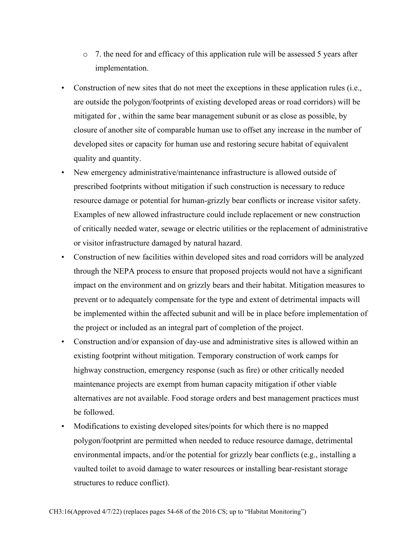- $\circ$  7. the need for and efficacy of this application rule will be assessed 5 years after implementation.
- Construction of new sites that do not meet the exceptions in these application rules (i.e., are outside the polygon/footprints of existing developed areas or road corridors) will be mitigated for , within the same bear management subunit or as close as possible, by closure of another site of comparable human use to offset any increase in the number of developed sites or capacity for human use and restoring secure habitat of equivalent quality and quantity.
- New emergency administrative/maintenance infrastructure is allowed outside of prescribed footprints without mitigation if such construction is necessary to reduce resource damage or potential for human-grizzly bear conflicts or increase visitor safety. Examples of new allowed infrastructure could include replacement or new construction of critically needed water, sewage or electric utilities or the replacement of administrative or visitor infrastructure damaged by natural hazard.
- Construction of new facilities within developed sites and road corridors will be analyzed through the NEPA process to ensure that proposed projects would not have a significant impact on the environment and on grizzly bears and their habitat. Mitigation measures to prevent or to adequately compensate for the type and extent of detrimental impacts will be implemented within the affected subunit and will be in place before implementation of the project or included as an integral part of completion of the project.
- Construction and/or expansion of day-use and administrative sites is allowed within an existing footprint without mitigation. Temporary construction of work camps for highway construction, emergency response (such as fire) or other critically needed maintenance projects are exempt from human capacity mitigation if other viable alternatives are not available. Food storage orders and best management practices must be followed.
- Modifications to existing developed sites/points for which there is no mapped polygon/footprint are permitted when needed to reduce resource damage, detrimental environmental impacts, and/or the potential for grizzly bear conflicts (e.g., installing a vaulted toilet to avoid damage to water resources or installing bear-resistant storage structures to reduce conflict).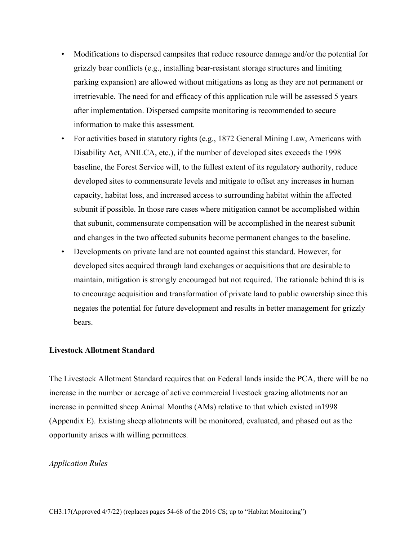- Modifications to dispersed campsites that reduce resource damage and/or the potential for grizzly bear conflicts (e.g., installing bear-resistant storage structures and limiting parking expansion) are allowed without mitigations as long as they are not permanent or irretrievable. The need for and efficacy of this application rule will be assessed 5 years after implementation. Dispersed campsite monitoring is recommended to secure information to make this assessment.
- For activities based in statutory rights (e.g., 1872 General Mining Law, Americans with Disability Act, ANILCA, etc.), if the number of developed sites exceeds the 1998 baseline, the Forest Service will, to the fullest extent of its regulatory authority, reduce developed sites to commensurate levels and mitigate to offset any increases in human capacity, habitat loss, and increased access to surrounding habitat within the affected subunit if possible. In those rare cases where mitigation cannot be accomplished within that subunit, commensurate compensation will be accomplished in the nearest subunit and changes in the two affected subunits become permanent changes to the baseline.
- Developments on private land are not counted against this standard. However, for developed sites acquired through land exchanges or acquisitions that are desirable to maintain, mitigation is strongly encouraged but not required. The rationale behind this is to encourage acquisition and transformation of private land to public ownership since this negates the potential for future development and results in better management for grizzly bears.

# **Livestock Allotment Standard**

The Livestock Allotment Standard requires that on Federal lands inside the PCA, there will be no increase in the number or acreage of active commercial livestock grazing allotments nor an increase in permitted sheep Animal Months (AMs) relative to that which existed in1998 (Appendix E). Existing sheep allotments will be monitored, evaluated, and phased out as the opportunity arises with willing permittees.

### *Application Rules*